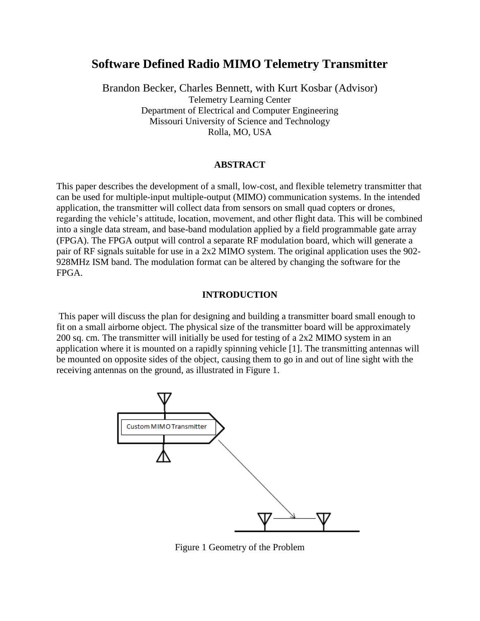# **Software Defined Radio MIMO Telemetry Transmitter**

Brandon Becker, Charles Bennett, with Kurt Kosbar (Advisor) Telemetry Learning Center Department of Electrical and Computer Engineering Missouri University of Science and Technology Rolla, MO, USA

#### **ABSTRACT**

This paper describes the development of a small, low-cost, and flexible telemetry transmitter that can be used for multiple-input multiple-output (MIMO) communication systems. In the intended application, the transmitter will collect data from sensors on small quad copters or drones, regarding the vehicle's attitude, location, movement, and other flight data. This will be combined into a single data stream, and base-band modulation applied by a field programmable gate array (FPGA). The FPGA output will control a separate RF modulation board, which will generate a pair of RF signals suitable for use in a 2x2 MIMO system. The original application uses the 902- 928MHz ISM band. The modulation format can be altered by changing the software for the FPGA.

#### **INTRODUCTION**

This paper will discuss the plan for designing and building a transmitter board small enough to fit on a small airborne object. The physical size of the transmitter board will be approximately 200 sq. cm. The transmitter will initially be used for testing of a 2x2 MIMO system in an application where it is mounted on a rapidly spinning vehicle [1]. The transmitting antennas will be mounted on opposite sides of the object, causing them to go in and out of line sight with the receiving antennas on the ground, as illustrated in Figure 1.



Figure 1 Geometry of the Problem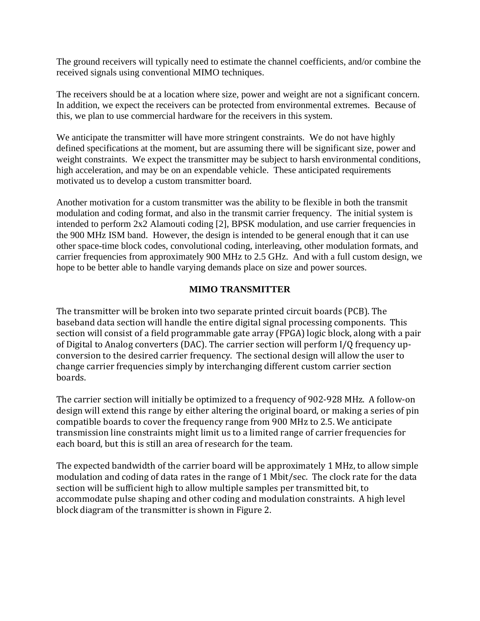The ground receivers will typically need to estimate the channel coefficients, and/or combine the received signals using conventional MIMO techniques.

The receivers should be at a location where size, power and weight are not a significant concern. In addition, we expect the receivers can be protected from environmental extremes. Because of this, we plan to use commercial hardware for the receivers in this system.

We anticipate the transmitter will have more stringent constraints. We do not have highly defined specifications at the moment, but are assuming there will be significant size, power and weight constraints. We expect the transmitter may be subject to harsh environmental conditions, high acceleration, and may be on an expendable vehicle. These anticipated requirements motivated us to develop a custom transmitter board.

Another motivation for a custom transmitter was the ability to be flexible in both the transmit modulation and coding format, and also in the transmit carrier frequency. The initial system is intended to perform 2x2 Alamouti coding [2], BPSK modulation, and use carrier frequencies in the 900 MHz ISM band. However, the design is intended to be general enough that it can use other space-time block codes, convolutional coding, interleaving, other modulation formats, and carrier frequencies from approximately 900 MHz to 2.5 GHz. And with a full custom design, we hope to be better able to handle varying demands place on size and power sources.

# **MIMO TRANSMITTER**

The transmitter will be broken into two separate printed circuit boards (PCB). The baseband data section will handle the entire digital signal processing components. This section will consist of a field programmable gate array (FPGA) logic block, along with a pair of Digital to Analog converters (DAC). The carrier section will perform I/Q frequency upconversion to the desired carrier frequency. The sectional design will allow the user to change carrier frequencies simply by interchanging different custom carrier section boards.

The carrier section will initially be optimized to a frequency of 902-928 MHz. A follow-on design will extend this range by either altering the original board, or making a series of pin compatible boards to cover the frequency range from 900 MHz to 2.5. We anticipate transmission line constraints might limit us to a limited range of carrier frequencies for each board, but this is still an area of research for the team.

The expected bandwidth of the carrier board will be approximately 1 MHz, to allow simple modulation and coding of data rates in the range of 1 Mbit/sec. The clock rate for the data section will be sufficient high to allow multiple samples per transmitted bit, to accommodate pulse shaping and other coding and modulation constraints. A high level block diagram of the transmitter is shown in Figure 2.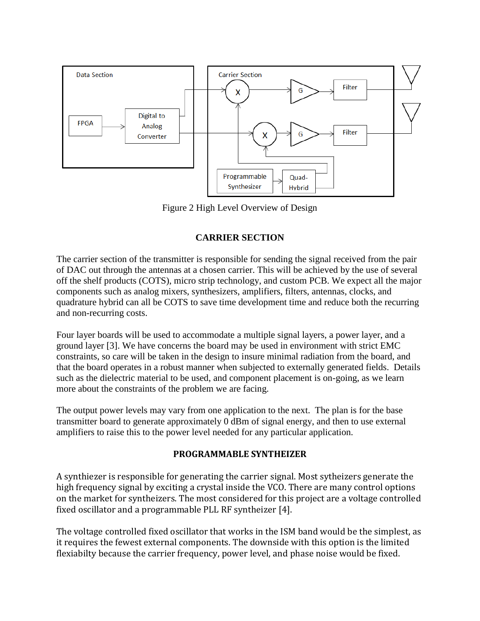

Figure 2 High Level Overview of Design

# **CARRIER SECTION**

The carrier section of the transmitter is responsible for sending the signal received from the pair of DAC out through the antennas at a chosen carrier. This will be achieved by the use of several off the shelf products (COTS), micro strip technology, and custom PCB. We expect all the major components such as analog mixers, synthesizers, amplifiers, filters, antennas, clocks, and quadrature hybrid can all be COTS to save time development time and reduce both the recurring and non-recurring costs.

Four layer boards will be used to accommodate a multiple signal layers, a power layer, and a ground layer [3]. We have concerns the board may be used in environment with strict EMC constraints, so care will be taken in the design to insure minimal radiation from the board, and that the board operates in a robust manner when subjected to externally generated fields. Details such as the dielectric material to be used, and component placement is on-going, as we learn more about the constraints of the problem we are facing.

The output power levels may vary from one application to the next. The plan is for the base transmitter board to generate approximately 0 dBm of signal energy, and then to use external amplifiers to raise this to the power level needed for any particular application.

# **PROGRAMMABLE SYNTHEIZER**

A synthiezer is responsible for generating the carrier signal. Most sytheizers generate the high frequency signal by exciting a crystal inside the VCO. There are many control options on the market for syntheizers. The most considered for this project are a voltage controlled fixed oscillator and a programmable PLL RF syntheizer [4].

The voltage controlled fixed oscillator that works in the ISM band would be the simplest, as it requires the fewest external components. The downside with this option is the limited flexiabilty because the carrier frequency, power level, and phase noise would be fixed.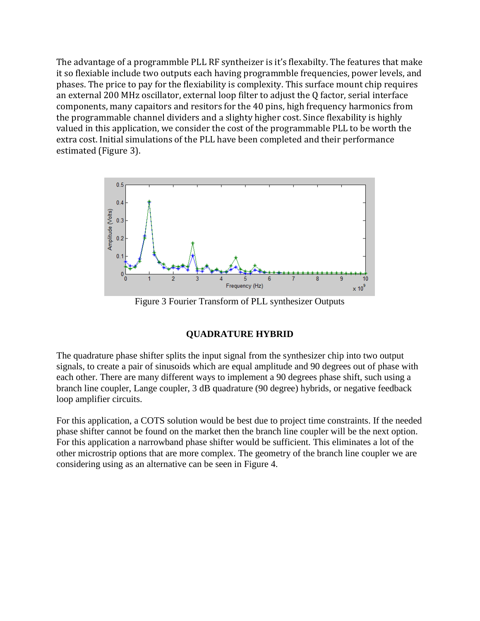The advantage of a programmble PLL RF syntheizer is it's flexabilty. The features that make it so flexiable include two outputs each having programmble frequencies, power levels, and phases. The price to pay for the flexiability is complexity. This surface mount chip requires an external 200 MHz oscillator, external loop filter to adjust the Q factor, serial interface components, many capaitors and resitors for the 40 pins, high frequency harmonics from the programmable channel dividers and a slighty higher cost. Since flexability is highly valued in this application, we consider the cost of the programmable PLL to be worth the extra cost. Initial simulations of the PLL have been completed and their performance estimated (Figure 3).



Figure 3 Fourier Transform of PLL synthesizer Outputs

# **QUADRATURE HYBRID**

The quadrature phase shifter splits the input signal from the synthesizer chip into two output signals, to create a pair of sinusoids which are equal amplitude and 90 degrees out of phase with each other. There are many different ways to implement a 90 degrees phase shift, such using a branch line coupler, Lange coupler, 3 dB quadrature (90 degree) hybrids, or negative feedback loop amplifier circuits.

For this application, a COTS solution would be best due to project time constraints. If the needed phase shifter cannot be found on the market then the branch line coupler will be the next option. For this application a narrowband phase shifter would be sufficient. This eliminates a lot of the other microstrip options that are more complex. The geometry of the branch line coupler we are considering using as an alternative can be seen in Figure 4.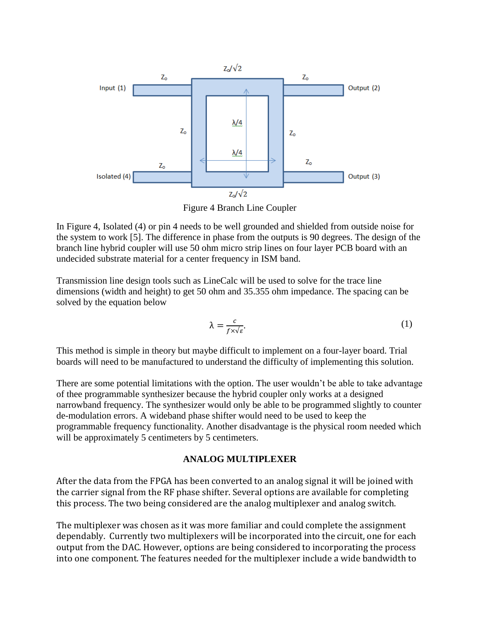

Figure 4 Branch Line Coupler

In Figure 4, Isolated (4) or pin 4 needs to be well grounded and shielded from outside noise for the system to work [5]. The difference in phase from the outputs is 90 degrees. The design of the branch line hybrid coupler will use 50 ohm micro strip lines on four layer PCB board with an undecided substrate material for a center frequency in ISM band.

Transmission line design tools such as LineCalc will be used to solve for the trace line dimensions (width and height) to get 50 ohm and 35.355 ohm impedance. The spacing can be solved by the equation below

$$
\lambda = \frac{c}{f \times \sqrt{\varepsilon}}.\tag{1}
$$

This method is simple in theory but maybe difficult to implement on a four-layer board. Trial boards will need to be manufactured to understand the difficulty of implementing this solution.

There are some potential limitations with the option. The user wouldn't be able to take advantage of thee programmable synthesizer because the hybrid coupler only works at a designed narrowband frequency. The synthesizer would only be able to be programmed slightly to counter de-modulation errors. A wideband phase shifter would need to be used to keep the programmable frequency functionality. Another disadvantage is the physical room needed which will be approximately 5 centimeters by 5 centimeters.

### **ANALOG MULTIPLEXER**

After the data from the FPGA has been converted to an analog signal it will be joined with the carrier signal from the RF phase shifter. Several options are available for completing this process. The two being considered are the analog multiplexer and analog switch.

The multiplexer was chosen as it was more familiar and could complete the assignment dependably. Currently two multiplexers will be incorporated into the circuit, one for each output from the DAC. However, options are being considered to incorporating the process into one component. The features needed for the multiplexer include a wide bandwidth to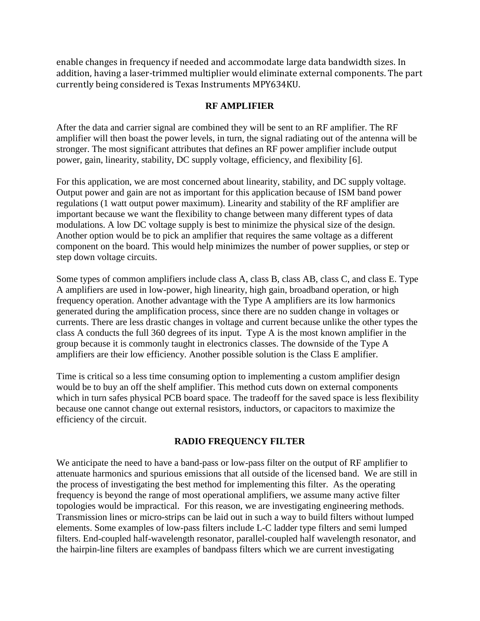enable changes in frequency if needed and accommodate large data bandwidth sizes. In addition, having a laser-trimmed multiplier would eliminate external components. The part currently being considered is Texas Instruments MPY634KU.

### **RF AMPLIFIER**

After the data and carrier signal are combined they will be sent to an RF amplifier. The RF amplifier will then boast the power levels, in turn, the signal radiating out of the antenna will be stronger. The most significant attributes that defines an RF power amplifier include output power, gain, linearity, stability, DC supply voltage, efficiency, and flexibility [6].

For this application, we are most concerned about linearity, stability, and DC supply voltage. Output power and gain are not as important for this application because of ISM band power regulations (1 watt output power maximum). Linearity and stability of the RF amplifier are important because we want the flexibility to change between many different types of data modulations. A low DC voltage supply is best to minimize the physical size of the design. Another option would be to pick an amplifier that requires the same voltage as a different component on the board. This would help minimizes the number of power supplies, or step or step down voltage circuits.

Some types of common amplifiers include class A, class B, class AB, class C, and class E. Type A amplifiers are used in low-power, high linearity, high gain, broadband operation, or high frequency operation. Another advantage with the Type A amplifiers are its low harmonics generated during the amplification process, since there are no sudden change in voltages or currents. There are less drastic changes in voltage and current because unlike the other types the class A conducts the full 360 degrees of its input. Type A is the most known amplifier in the group because it is commonly taught in electronics classes. The downside of the Type A amplifiers are their low efficiency. Another possible solution is the Class E amplifier.

Time is critical so a less time consuming option to implementing a custom amplifier design would be to buy an off the shelf amplifier. This method cuts down on external components which in turn safes physical PCB board space. The tradeoff for the saved space is less flexibility because one cannot change out external resistors, inductors, or capacitors to maximize the efficiency of the circuit.

### **RADIO FREQUENCY FILTER**

We anticipate the need to have a band-pass or low-pass filter on the output of RF amplifier to attenuate harmonics and spurious emissions that all outside of the licensed band. We are still in the process of investigating the best method for implementing this filter. As the operating frequency is beyond the range of most operational amplifiers, we assume many active filter topologies would be impractical. For this reason, we are investigating engineering methods. Transmission lines or micro-strips can be laid out in such a way to build filters without lumped elements. Some examples of low-pass filters include L-C ladder type filters and semi lumped filters. End-coupled half-wavelength resonator, parallel-coupled half wavelength resonator, and the hairpin-line filters are examples of bandpass filters which we are current investigating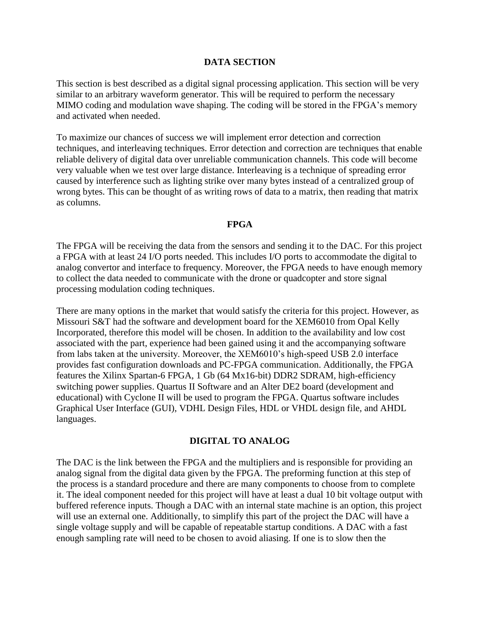#### **DATA SECTION**

This section is best described as a digital signal processing application. This section will be very similar to an arbitrary waveform generator. This will be required to perform the necessary MIMO coding and modulation wave shaping. The coding will be stored in the FPGA's memory and activated when needed.

To maximize our chances of success we will implement error detection and correction techniques, and interleaving techniques. Error detection and correction are techniques that enable reliable delivery of digital data over unreliable communication channels. This code will become very valuable when we test over large distance. Interleaving is a technique of spreading error caused by interference such as lighting strike over many bytes instead of a centralized group of wrong bytes. This can be thought of as writing rows of data to a matrix, then reading that matrix as columns.

#### **FPGA**

The FPGA will be receiving the data from the sensors and sending it to the DAC. For this project a FPGA with at least 24 I/O ports needed. This includes I/O ports to accommodate the digital to analog convertor and interface to frequency. Moreover, the FPGA needs to have enough memory to collect the data needed to communicate with the drone or quadcopter and store signal processing modulation coding techniques.

There are many options in the market that would satisfy the criteria for this project. However, as Missouri S&T had the software and development board for the XEM6010 from Opal Kelly Incorporated, therefore this model will be chosen. In addition to the availability and low cost associated with the part, experience had been gained using it and the accompanying software from labs taken at the university. Moreover, the XEM6010's high-speed USB 2.0 interface provides fast configuration downloads and PC-FPGA communication. Additionally, the FPGA features the Xilinx Spartan-6 FPGA, 1 Gb (64 Mx16-bit) DDR2 SDRAM, high-efficiency switching power supplies. Quartus II Software and an Alter DE2 board (development and educational) with Cyclone II will be used to program the FPGA. Quartus software includes Graphical User Interface (GUI), VDHL Design Files, HDL or VHDL design file, and AHDL languages.

### **DIGITAL TO ANALOG**

The DAC is the link between the FPGA and the multipliers and is responsible for providing an analog signal from the digital data given by the FPGA. The preforming function at this step of the process is a standard procedure and there are many components to choose from to complete it. The ideal component needed for this project will have at least a dual 10 bit voltage output with buffered reference inputs. Though a DAC with an internal state machine is an option, this project will use an external one. Additionally, to simplify this part of the project the DAC will have a single voltage supply and will be capable of repeatable startup conditions. A DAC with a fast enough sampling rate will need to be chosen to avoid aliasing. If one is to slow then the